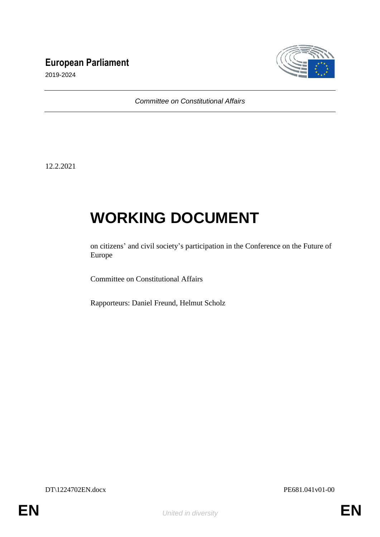# **European Parliament**



2019-2024

*Committee on Constitutional Affairs*

12.2.2021

# **WORKING DOCUMENT**

on citizens' and civil society's participation in the Conference on the Future of Europe

Committee on Constitutional Affairs

Rapporteurs: Daniel Freund, Helmut Scholz

DT\1224702EN.docx PE681.041v01-00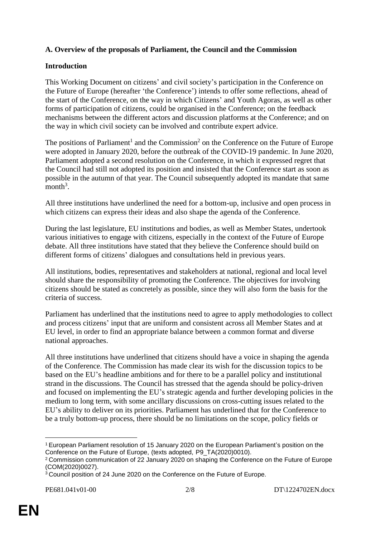# **A. Overview of the proposals of Parliament, the Council and the Commission**

## **Introduction**

This Working Document on citizens' and civil society's participation in the Conference on the Future of Europe (hereafter 'the Conference') intends to offer some reflections, ahead of the start of the Conference, on the way in which Citizens' and Youth Agoras, as well as other forms of participation of citizens, could be organised in the Conference; on the feedback mechanisms between the different actors and discussion platforms at the Conference; and on the way in which civil society can be involved and contribute expert advice.

The positions of Parliament<sup>1</sup> and the Commission<sup>2</sup> on the Conference on the Future of Europe were adopted in January 2020, before the outbreak of the COVID-19 pandemic. In June 2020, Parliament adopted a second resolution on the Conference, in which it expressed regret that the Council had still not adopted its position and insisted that the Conference start as soon as possible in the autumn of that year. The Council subsequently adopted its mandate that same month<sup>3</sup>.

All three institutions have underlined the need for a bottom-up, inclusive and open process in which citizens can express their ideas and also shape the agenda of the Conference.

During the last legislature, EU institutions and bodies, as well as Member States, undertook various initiatives to engage with citizens, especially in the context of the Future of Europe debate. All three institutions have stated that they believe the Conference should build on different forms of citizens' dialogues and consultations held in previous years.

All institutions, bodies, representatives and stakeholders at national, regional and local level should share the responsibility of promoting the Conference. The objectives for involving citizens should be stated as concretely as possible, since they will also form the basis for the criteria of success.

Parliament has underlined that the institutions need to agree to apply methodologies to collect and process citizens' input that are uniform and consistent across all Member States and at EU level, in order to find an appropriate balance between a common format and diverse national approaches.

All three institutions have underlined that citizens should have a voice in shaping the agenda of the Conference. The Commission has made clear its wish for the discussion topics to be based on the EU's headline ambitions and for there to be a parallel policy and institutional strand in the discussions. The Council has stressed that the agenda should be policy-driven and focused on implementing the EU's strategic agenda and further developing policies in the medium to long term, with some ancillary discussions on cross-cutting issues related to the EU's ability to deliver on its priorities. Parliament has underlined that for the Conference to be a truly bottom-up process, there should be no limitations on the scope, policy fields or

 $\overline{a}$ <sup>1</sup> European Parliament resolution of 15 January 2020 on the European Parliament's position on the Conference on the Future of Europe, (texts adopted, P9\_TA(2020)0010).

<sup>2</sup> Commission communication of 22 January 2020 on shaping the Conference on the Future of Europe (COM(2020)0027).

<sup>3</sup> Council position of 24 June 2020 on the Conference on the Future of Europe.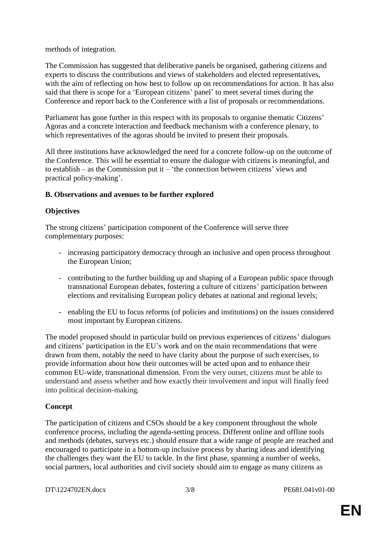methods of integration.

The Commission has suggested that deliberative panels be organised, gathering citizens and experts to discuss the contributions and views of stakeholders and elected representatives, with the aim of reflecting on how best to follow up on recommendations for action. It has also said that there is scope for a 'European citizens' panel' to meet several times during the Conference and report back to the Conference with a list of proposals or recommendations.

Parliament has gone further in this respect with its proposals to organise thematic Citizens' Agoras and a concrete interaction and feedback mechanism with a conference plenary, to which representatives of the agoras should be invited to present their proposals.

All three institutions have acknowledged the need for a concrete follow-up on the outcome of the Conference. This will be essential to ensure the dialogue with citizens is meaningful, and to establish – as the Commission put it – 'the connection between citizens' views and practical policy-making'.

#### **B. Observations and avenues to be further explored**

### **Objectives**

The strong citizens' participation component of the Conference will serve three complementary purposes:

- increasing participatory democracy through an inclusive and open process throughout the European Union;
- contributing to the further building up and shaping of a European public space through transnational European debates, fostering a culture of citizens' participation between elections and revitalising European policy debates at national and regional levels;
- enabling the EU to focus reforms (of policies and institutions) on the issues considered most important by European citizens.

The model proposed should in particular build on previous experiences of citizens' dialogues and citizens' participation in the EU's work and on the main recommendations that were drawn from them, notably the need to have clarity about the purpose of such exercises, to provide information about how their outcomes will be acted upon and to enhance their common EU-wide, transnational dimension. From the very outset, citizens must be able to understand and assess whether and how exactly their involvement and input will finally feed into political decision-making.

# **Concept**

The participation of citizens and CSOs should be a key component throughout the whole conference process, including the agenda-setting process. Different online and offline tools and methods (debates, surveys etc.) should ensure that a wide range of people are reached and encouraged to participate in a bottom-up inclusive process by sharing ideas and identifying the challenges they want the EU to tackle. In the first phase, spanning a number of weeks, social partners, local authorities and civil society should aim to engage as many citizens as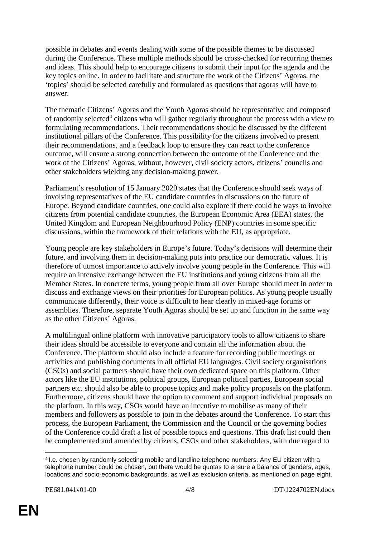possible in debates and events dealing with some of the possible themes to be discussed during the Conference. These multiple methods should be cross-checked for recurring themes and ideas. This should help to encourage citizens to submit their input for the agenda and the key topics online. In order to facilitate and structure the work of the Citizens' Agoras, the 'topics' should be selected carefully and formulated as questions that agoras will have to answer.

The thematic Citizens' Agoras and the Youth Agoras should be representative and composed of randomly selected<sup>4</sup> citizens who will gather regularly throughout the process with a view to formulating recommendations. Their recommendations should be discussed by the different institutional pillars of the Conference. This possibility for the citizens involved to present their recommendations, and a feedback loop to ensure they can react to the conference outcome, will ensure a strong connection between the outcome of the Conference and the work of the Citizens' Agoras, without, however, civil society actors, citizens' councils and other stakeholders wielding any decision-making power.

Parliament's resolution of 15 January 2020 states that the Conference should seek ways of involving representatives of the EU candidate countries in discussions on the future of Europe. Beyond candidate countries, one could also explore if there could be ways to involve citizens from potential candidate countries, the European Economic Area (EEA) states, the United Kingdom and European Neighbourhood Policy (ENP) countries in some specific discussions, within the framework of their relations with the EU, as appropriate.

Young people are key stakeholders in Europe's future. Today's decisions will determine their future, and involving them in decision-making puts into practice our democratic values. It is therefore of utmost importance to actively involve young people in the Conference. This will require an intensive exchange between the EU institutions and young citizens from all the Member States. In concrete terms, young people from all over Europe should meet in order to discuss and exchange views on their priorities for European politics. As young people usually communicate differently, their voice is difficult to hear clearly in mixed-age forums or assemblies. Therefore, separate Youth Agoras should be set up and function in the same way as the other Citizens' Agoras.

A multilingual online platform with innovative participatory tools to allow citizens to share their ideas should be accessible to everyone and contain all the information about the Conference. The platform should also include a feature for recording public meetings or activities and publishing documents in all official EU languages. Civil society organisations (CSOs) and social partners should have their own dedicated space on this platform. Other actors like the EU institutions, political groups, European political parties, European social partners etc. should also be able to propose topics and make policy proposals on the platform. Furthermore, citizens should have the option to comment and support individual proposals on the platform. In this way, CSOs would have an incentive to mobilise as many of their members and followers as possible to join in the debates around the Conference. To start this process, the European Parliament, the Commission and the Council or the governing bodies of the Conference could draft a list of possible topics and questions. This draft list could then be complemented and amended by citizens, CSOs and other stakeholders, with due regard to

 $\overline{a}$ 

<sup>4</sup> I.e. chosen by randomly selecting mobile and landline telephone numbers. Any EU citizen with a telephone number could be chosen, but there would be quotas to ensure a balance of genders, ages, locations and socio-economic backgrounds, as well as exclusion criteria, as mentioned on page eight.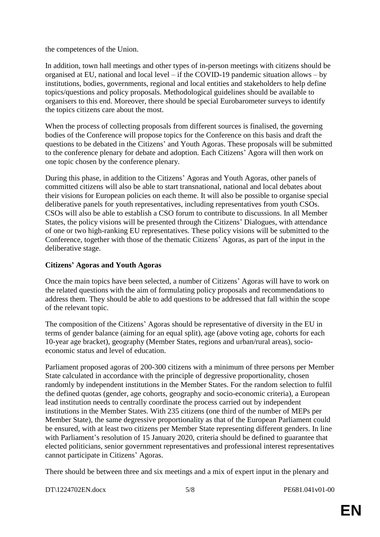the competences of the Union.

In addition, town hall meetings and other types of in-person meetings with citizens should be organised at EU, national and local level – if the COVID-19 pandemic situation allows – by institutions, bodies, governments, regional and local entities and stakeholders to help define topics/questions and policy proposals. Methodological guidelines should be available to organisers to this end. Moreover, there should be special Eurobarometer surveys to identify the topics citizens care about the most.

When the process of collecting proposals from different sources is finalised, the governing bodies of the Conference will propose topics for the Conference on this basis and draft the questions to be debated in the Citizens' and Youth Agoras. These proposals will be submitted to the conference plenary for debate and adoption. Each Citizens' Agora will then work on one topic chosen by the conference plenary.

During this phase, in addition to the Citizens' Agoras and Youth Agoras, other panels of committed citizens will also be able to start transnational, national and local debates about their visions for European policies on each theme. It will also be possible to organise special deliberative panels for youth representatives, including representatives from youth CSOs. CSOs will also be able to establish a CSO forum to contribute to discussions. In all Member States, the policy visions will be presented through the Citizens' Dialogues, with attendance of one or two high-ranking EU representatives. These policy visions will be submitted to the Conference, together with those of the thematic Citizens' Agoras, as part of the input in the deliberative stage.

#### **Citizens' Agoras and Youth Agoras**

Once the main topics have been selected, a number of Citizens' Agoras will have to work on the related questions with the aim of formulating policy proposals and recommendations to address them. They should be able to add questions to be addressed that fall within the scope of the relevant topic.

The composition of the Citizens' Agoras should be representative of diversity in the EU in terms of gender balance (aiming for an equal split), age (above voting age, cohorts for each 10-year age bracket), geography (Member States, regions and urban/rural areas), socioeconomic status and level of education.

Parliament proposed agoras of 200-300 citizens with a minimum of three persons per Member State calculated in accordance with the principle of degressive proportionality, chosen randomly by independent institutions in the Member States. For the random selection to fulfil the defined quotas (gender, age cohorts, geography and socio-economic criteria), a European lead institution needs to centrally coordinate the process carried out by independent institutions in the Member States. With 235 citizens (one third of the number of MEPs per Member State), the same degressive proportionality as that of the European Parliament could be ensured, with at least two citizens per Member State representing different genders. In line with Parliament's resolution of 15 January 2020, criteria should be defined to guarantee that elected politicians, senior government representatives and professional interest representatives cannot participate in Citizens' Agoras.

There should be between three and six meetings and a mix of expert input in the plenary and

DT\1224702EN.docx 5/8 PE681.041v01-00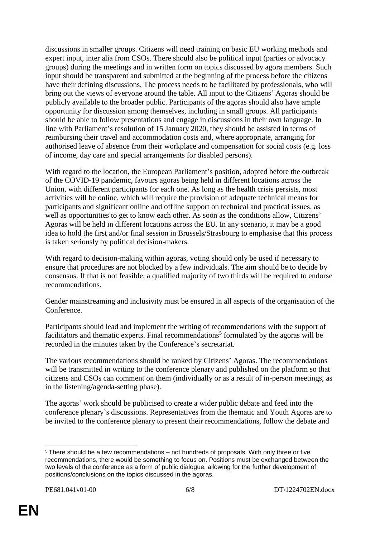discussions in smaller groups. Citizens will need training on basic EU working methods and expert input, inter alia from CSOs. There should also be political input (parties or advocacy groups) during the meetings and in written form on topics discussed by agora members. Such input should be transparent and submitted at the beginning of the process before the citizens have their defining discussions. The process needs to be facilitated by professionals, who will bring out the views of everyone around the table. All input to the Citizens' Agoras should be publicly available to the broader public. Participants of the agoras should also have ample opportunity for discussion among themselves, including in small groups. All participants should be able to follow presentations and engage in discussions in their own language. In line with Parliament's resolution of 15 January 2020, they should be assisted in terms of reimbursing their travel and accommodation costs and, where appropriate, arranging for authorised leave of absence from their workplace and compensation for social costs (e.g. loss of income, day care and special arrangements for disabled persons).

With regard to the location, the European Parliament's position, adopted before the outbreak of the COVID-19 pandemic, favours agoras being held in different locations across the Union, with different participants for each one. As long as the health crisis persists, most activities will be online, which will require the provision of adequate technical means for participants and significant online and offline support on technical and practical issues, as well as opportunities to get to know each other. As soon as the conditions allow, Citizens' Agoras will be held in different locations across the EU. In any scenario, it may be a good idea to hold the first and/or final session in Brussels/Strasbourg to emphasise that this process is taken seriously by political decision-makers.

With regard to decision-making within agoras, voting should only be used if necessary to ensure that procedures are not blocked by a few individuals. The aim should be to decide by consensus. If that is not feasible, a qualified majority of two thirds will be required to endorse recommendations.

Gender mainstreaming and inclusivity must be ensured in all aspects of the organisation of the Conference.

Participants should lead and implement the writing of recommendations with the support of facilitators and thematic experts. Final recommendations<sup>5</sup> formulated by the agoras will be recorded in the minutes taken by the Conference's secretariat.

The various recommendations should be ranked by Citizens' Agoras. The recommendations will be transmitted in writing to the conference plenary and published on the platform so that citizens and CSOs can comment on them (individually or as a result of in-person meetings, as in the listening/agenda-setting phase).

The agoras' work should be publicised to create a wider public debate and feed into the conference plenary's discussions. Representatives from the thematic and Youth Agoras are to be invited to the conference plenary to present their recommendations, follow the debate and

 $\overline{a}$ 

<sup>5</sup> There should be a few recommendations – not hundreds of proposals. With only three or five recommendations, there would be something to focus on. Positions must be exchanged between the two levels of the conference as a form of public dialogue, allowing for the further development of positions/conclusions on the topics discussed in the agoras.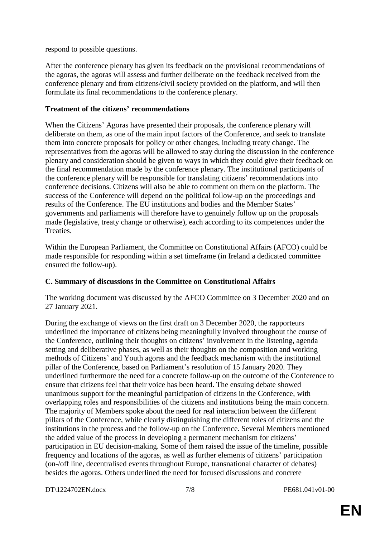respond to possible questions.

After the conference plenary has given its feedback on the provisional recommendations of the agoras, the agoras will assess and further deliberate on the feedback received from the conference plenary and from citizens/civil society provided on the platform, and will then formulate its final recommendations to the conference plenary.

#### **Treatment of the citizens' recommendations**

When the Citizens' Agoras have presented their proposals, the conference plenary will deliberate on them, as one of the main input factors of the Conference, and seek to translate them into concrete proposals for policy or other changes, including treaty change. The representatives from the agoras will be allowed to stay during the discussion in the conference plenary and consideration should be given to ways in which they could give their feedback on the final recommendation made by the conference plenary. The institutional participants of the conference plenary will be responsible for translating citizens' recommendations into conference decisions. Citizens will also be able to comment on them on the platform. The success of the Conference will depend on the political follow-up on the proceedings and results of the Conference. The EU institutions and bodies and the Member States' governments and parliaments will therefore have to genuinely follow up on the proposals made (legislative, treaty change or otherwise), each according to its competences under the Treaties.

Within the European Parliament, the Committee on Constitutional Affairs (AFCO) could be made responsible for responding within a set timeframe (in Ireland a dedicated committee ensured the follow-up).

#### **C. Summary of discussions in the Committee on Constitutional Affairs**

The working document was discussed by the AFCO Committee on 3 December 2020 and on 27 January 2021.

During the exchange of views on the first draft on 3 December 2020, the rapporteurs underlined the importance of citizens being meaningfully involved throughout the course of the Conference, outlining their thoughts on citizens' involvement in the listening, agenda setting and deliberative phases, as well as their thoughts on the composition and working methods of Citizens' and Youth agoras and the feedback mechanism with the institutional pillar of the Conference, based on Parliament's resolution of 15 January 2020. They underlined furthermore the need for a concrete follow-up on the outcome of the Conference to ensure that citizens feel that their voice has been heard. The ensuing debate showed unanimous support for the meaningful participation of citizens in the Conference, with overlapping roles and responsibilities of the citizens and institutions being the main concern. The majority of Members spoke about the need for real interaction between the different pillars of the Conference, while clearly distinguishing the different roles of citizens and the institutions in the process and the follow-up on the Conference. Several Members mentioned the added value of the process in developing a permanent mechanism for citizens' participation in EU decision-making. Some of them raised the issue of the timeline, possible frequency and locations of the agoras, as well as further elements of citizens' participation (on-/off line, decentralised events throughout Europe, transnational character of debates) besides the agoras. Others underlined the need for focused discussions and concrete

DT\1224702EN.docx 7/8 PE681.041v01-00